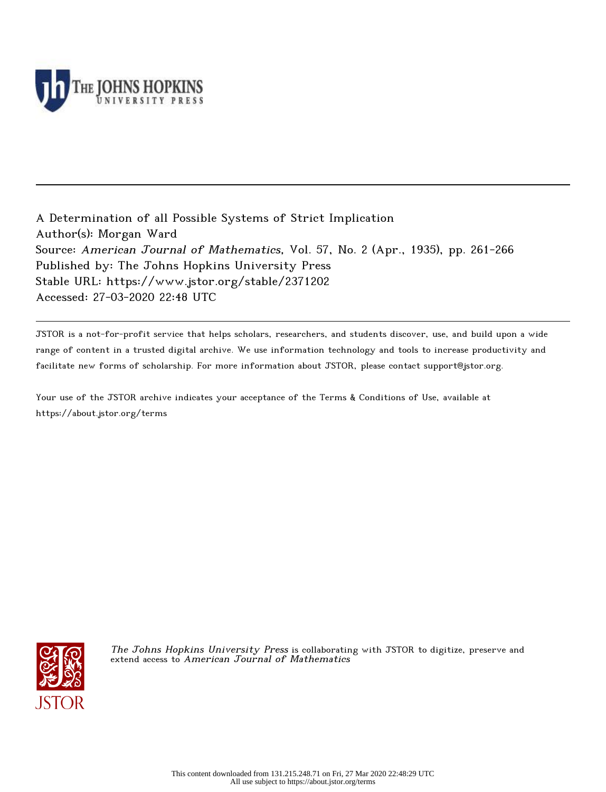

A Determination of all Possible Systems of Strict Implication Author(s): Morgan Ward Source: American Journal of Mathematics, Vol. 57, No. 2 (Apr., 1935), pp. 261-266 Published by: The Johns Hopkins University Press Stable URL: https://www.jstor.org/stable/2371202 Accessed: 27-03-2020 22:48 UTC

JSTOR is a not-for-profit service that helps scholars, researchers, and students discover, use, and build upon a wide range of content in a trusted digital archive. We use information technology and tools to increase productivity and facilitate new forms of scholarship. For more information about JSTOR, please contact support@jstor.org.

Your use of the JSTOR archive indicates your acceptance of the Terms & Conditions of Use, available at https://about.jstor.org/terms



The Johns Hopkins University Press is collaborating with JSTOR to digitize, preserve and extend access to American Journal of Mathematics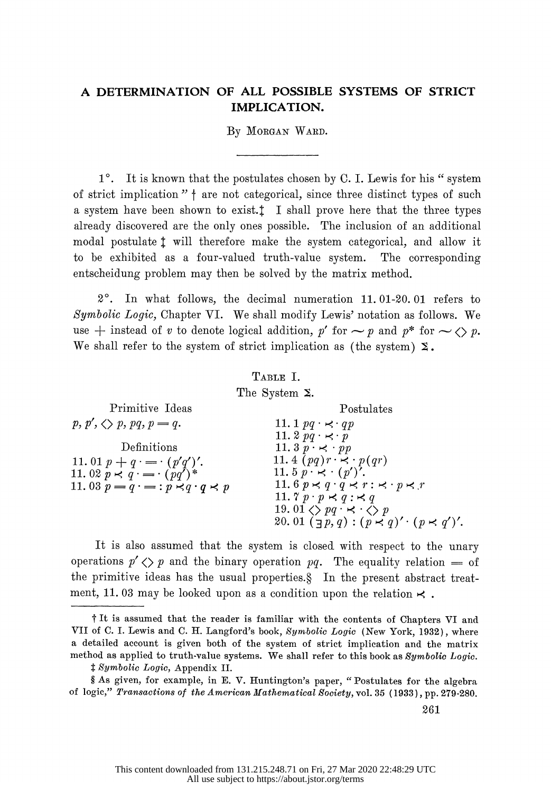# A DETERMINATION OF ALL POSSIBLE SYSTEMS OF STRICT IMPLICATION.

By MORGAN WARD.

 $1^\circ$ . It is known that the postulates chosen by C. I. Lewis for his " system of strict implication  $" \dagger$  are not categorical, since three distinct types of such a system have been shown to exist. $\ddagger$  I shall prove here that the three types already discovered are the only ones possible. The inclusion of an additional modal postulate  $\ddagger$  will therefore make the system categorical, and allow it to be exhibited as a four-valued truth-value system. The corresponding entscheidung problem may then be solved by the matrix method.

 20. In what follows, the decimal numeration 11. 01-20. 01 refers to Symbolic Logic, Chapter VI. We shall modify Lewis' notation as follows. We use  $+$  instead of v to denote logical addition, p' for  $\sim$  p and p\* for  $\sim$   $\lt$  p. We shall refer to the system of strict implication as (the system)  $\Sigma$ .

# TABLE I. The System  $\Sigma$ .

| Primitive Ideas                                                                                                                            | Postulates                                                                                                                                                                                                                                                                                                                                                     |
|--------------------------------------------------------------------------------------------------------------------------------------------|----------------------------------------------------------------------------------------------------------------------------------------------------------------------------------------------------------------------------------------------------------------------------------------------------------------------------------------------------------------|
| $p, p', \langle \rangle p, pq, p = q.$                                                                                                     | 11. 1 $pq \cdot \prec qp$                                                                                                                                                                                                                                                                                                                                      |
| Definitions<br>11. 01 $p + q = (p'q')'$ .<br>11. 02 $p \lt q \cdot (-q \cdot (pq')^*$<br>11.03 $p = q \cdot = : p \prec q \cdot q \prec p$ | 11. $2 pq \cdot \leq p$<br>11. $3 p \cdot \leq p p$<br>11. 4 $(pq)r \rightarrow p(qr)$<br>11. $5 p \cdot \kappa \cdot (p')'.$<br>11.6 $p \lt q \cdot q \lt r : \lt \cdot p \lt r$<br>11. $7 p \cdot p \prec q : \prec q$<br>19. 01 $\langle \rangle$ pq $\cdot \times \cdot \langle \rangle$ p<br>20. 01 $(\exists p, q) : (p \prec q)' \cdot (p \prec q')'$ . |
|                                                                                                                                            |                                                                                                                                                                                                                                                                                                                                                                |

 It is also assumed that the system is closed with respect to the unary operations  $p' \langle p \rangle$  and the binary operation pq. The equality relation  $=$  of the primitive ideas has the usual properties.? In the present abstract treat ment, 11.03 may be looked upon as a condition upon the relation  $\prec$ .

t It is assumed that the reader is familiar with the contents of Chapters VI and VII of C. I. Lewis and C. H. Langford's book, Symbolic Logic (New York, 1932), where a detailed account is given both of the system of strict implication and the matrix method as applied to truth-value systems. We shall refer to this book as Symbolic Logic.

 $$ symbolic Logic, Appendix II.$ 

 <sup>?</sup> As given, for example, in E. V. Huntington's paper, "Postulates for the algebra of logic," Transactions of the American Mathematical Society, vol. 35 (1933), pp. 279-280.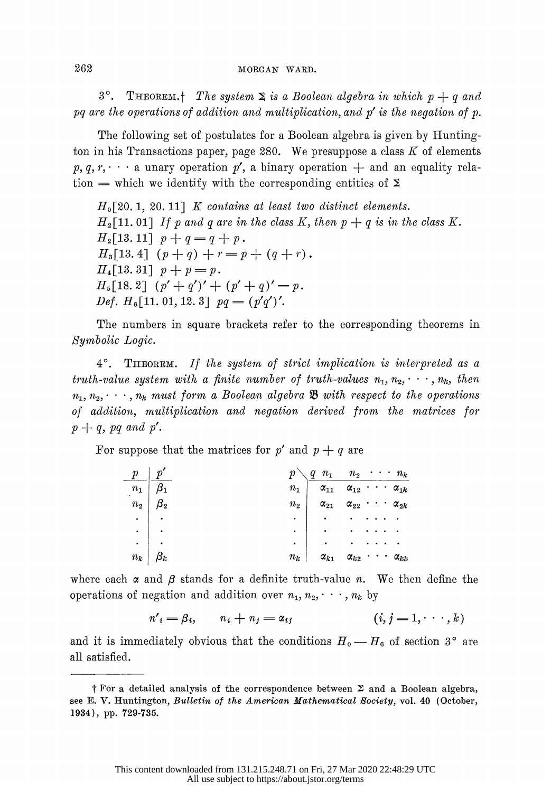3°. THEOREM.<sup>†</sup> The system  $\Sigma$  is a Boolean algebra in which  $p + q$  and pq are the operations of addition and multiplication, and  $p'$  is the negation of p.

 The following set of postulates for a Boolean algebra is given by Hunting ton in his Transactions paper, page 280. We presuppose a class  $K$  of elements  $p, q, r, \cdots$  a unary operation  $p'$ , a binary operation  $+$  and an equality relation  $=$  which we identify with the corresponding entities of  $\Sigma$ 

 $H_0[20. 1, 20. 11]$  K contains at least two distinct elements.  $H_2[11.01]$  If p and q are in the class K, then  $p + q$  is in the class K.  $H_2[13.11]$   $p+q=q+p$ .  $H_3[13.4]$   $(p+q)$  +  $r = p + (q + r)$ .  $H_4[13.31]$   $p + p = p$ .  $H_5[18, 2]$   $(p' + q')' + (p' + q)' = p$ . Def.  $H_6[11.01, 12.3]$   $pq = (p'q')'.$ 

 The numbers in square brackets refer to the corresponding theorems in Symbolic Logic.

 40. THEOREM. If the system of strict implication is interpreted as a truth-value system with a finite number of truth-values  $n_1, n_2, \dots, n_k$ , then  $n_1, n_2, \dots, n_k$  must form a Boolean algebra  $\mathfrak{B}$  with respect to the operations of addition, multiplication and negation derived from the matrices for  $p+q$ , pq and p'.

For suppose that the matrices for p' and  $p + q$  are

| $\frac{p}{\sqrt{p}}$                                                                           |                                                                                                                                                                                                                                                                                                                                                 |                             |  |                        |
|------------------------------------------------------------------------------------------------|-------------------------------------------------------------------------------------------------------------------------------------------------------------------------------------------------------------------------------------------------------------------------------------------------------------------------------------------------|-----------------------------|--|------------------------|
| $\boxed{n_1}$ $\boxed{\beta_1}$                                                                | $\begin{array}{c cccccc}\np \\ n_1 \\ n_2 \\ n_3\n\end{array}$ $\begin{array}{c cccccc}\nq & n_1 & n_2 & \cdots & n_k \\ \hline\n\alpha_{11} & \alpha_{12} & \cdots & \alpha_{1k} \\ \alpha_{21} & \alpha_{22} & \cdots & \alpha_{2k} \\ \vdots & \vdots & \ddots & \vdots \\ \hline\n\vdots & \vdots & \ddots & \vdots \\ \hline\n\end{array}$ |                             |  |                        |
| $\begin{array}{c c} n_2 & \beta_2 \ \cdot & \cdot \ \cdot & \cdot \ n_k & \beta_k \end{array}$ |                                                                                                                                                                                                                                                                                                                                                 |                             |  |                        |
|                                                                                                |                                                                                                                                                                                                                                                                                                                                                 |                             |  |                        |
|                                                                                                |                                                                                                                                                                                                                                                                                                                                                 |                             |  |                        |
|                                                                                                |                                                                                                                                                                                                                                                                                                                                                 |                             |  |                        |
|                                                                                                | $n_k$                                                                                                                                                                                                                                                                                                                                           | $\alpha_{k1}$ $\alpha_{k2}$ |  | $\cdots$ $\alpha_{kk}$ |

where each  $\alpha$  and  $\beta$  stands for a definite truth-value n. We then define the operations of negation and addition over  $n_1, n_2, \dots, n_k$  by

$$
n'_{i} = \beta_{i}, \qquad n_{i} + n_{j} = \alpha_{ij} \qquad (i, j = 1, \cdots, k)
$$

and it is immediately obvious that the conditions  $H_0 \longrightarrow H_6$  of section 3° are all satisfied.

 $\dagger$  For a detailed analysis of the correspondence between  $\Sigma$  and a Boolean algebra, see E. V. Huntington, Bulletin of the American Mathematical Society, vol. 40 (October, 1934), pp. 729-735.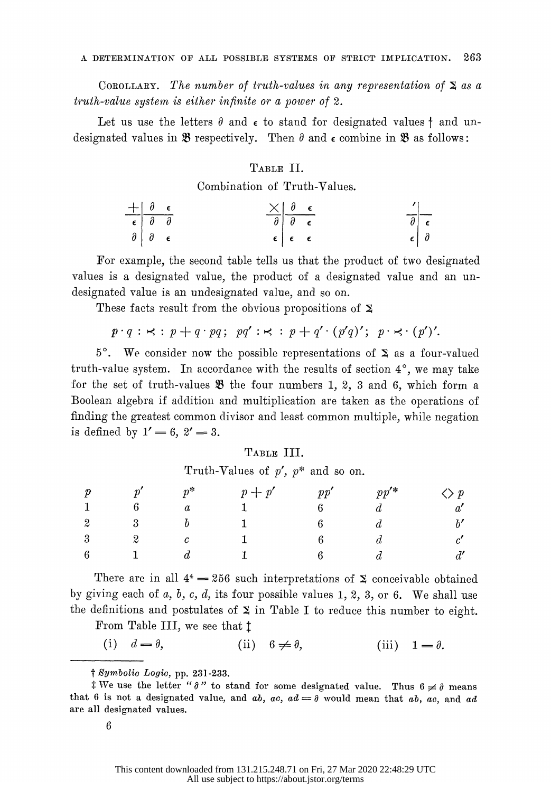COROLLARY. The number of truth-values in any representation of  $\Sigma$  as a  $truth-value system$  is either infinite or a power of 2.

Let us use the letters  $\partial$  and  $\epsilon$  to stand for designated values  $\dagger$  and undesignated values in  $\mathfrak{B}$  respectively. Then  $\theta$  and  $\epsilon$  combine in  $\mathfrak{B}$  as follows:

### TABLE II.

|                                                                                                                            |  | Combination of Truth-Values.         |  |
|----------------------------------------------------------------------------------------------------------------------------|--|--------------------------------------|--|
|                                                                                                                            |  | $\times$ $\theta$ $\epsilon$         |  |
|                                                                                                                            |  |                                      |  |
| $\begin{array}{c cc} + & \theta & \epsilon \\ \hline \epsilon & \theta & \theta \\ \theta & \theta & \epsilon \end{array}$ |  | $\epsilon$   $\epsilon$   $\epsilon$ |  |

 For example, the second table tells us that the product of two designated values is a designated value, the product of a designated value and an un designated value is an undesignated value, and so on.

These facts result from the obvious propositions of  $\Sigma$ 

$$
p \cdot q : \kappa : p + q \cdot pq; \ \ pq' : \kappa : p + q' \cdot (p'q)'; \ \ p \cdot \kappa \cdot (p')'.
$$

 $5^\circ$ . We consider now the possible representations of  $\Sigma$  as a four-valued truth-value system. In accordance with the results of section  $4^\circ$ , we may take for the set of truth-values  $\mathfrak B$  the four numbers 1, 2, 3 and 6, which form a Boolean algebra if addition and multiplication are taken as the operations of finding the greatest common divisor and least common multiple, while negation is defined by  $1' = 6, 2' = 3$ .

#### TABLE III.

Truth-Values of  $p'$ ,  $p^*$  and so on.

| Truth-Values of $p', p^*$ and so on. |                                            |                                                                                   |  |  |                                                                                    |
|--------------------------------------|--------------------------------------------|-----------------------------------------------------------------------------------|--|--|------------------------------------------------------------------------------------|
| p $p^{\prime}$ $p^{\ast}$            |                                            |                                                                                   |  |  |                                                                                    |
|                                      |                                            |                                                                                   |  |  |                                                                                    |
|                                      | 2 $\qquad$ 3 $\qquad$ $\qquad$ 5           |                                                                                   |  |  |                                                                                    |
|                                      | $\begin{array}{ccc} 3 & 2 & c \end{array}$ |                                                                                   |  |  |                                                                                    |
| $6 \qquad \qquad 1 \qquad \qquad$    |                                            |                                                                                   |  |  |                                                                                    |
|                                      |                                            |                                                                                   |  |  | There are in all $4^4 = 256$ such interpretations of $\Sigma$ conceivable obtained |
|                                      |                                            | <i>i</i> giving each of a h c d its four possible values 1 2 3 or 6. We shall use |  |  |                                                                                    |

by giving each of  $a, b, c, d$ , its four possible values 1, 2, 3, or 6. We shall use the definitions and postulates of  $\Sigma$  in Table I to reduce this number to eight.

From Table III, we see that  $t$ 

(i)  $d = \theta$ , (ii)  $6 \neq \theta$ , (iii)  $1 = \theta$ .

t Symbolic Logic, pp. 231-233.

t We use the letter " $\partial$ " to stand for some designated value. Thus  $6 \neq \partial$  means that 6 is not a designated value, and ab, ac,  $ad = \partial$  would mean that ab, ac, and ad are all designated values.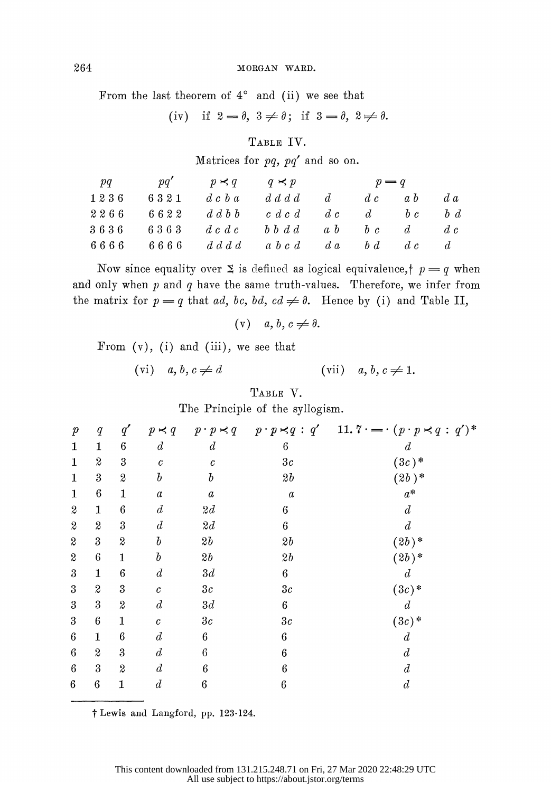### 264 MORGAN WARD.

From the last theorem of  $4^\circ$  and (ii) we see that

(iv) if  $2 = \theta$ ,  $3 \neq \theta$ ; if  $3 = \theta$ ,  $2 \neq \theta$ .

## TABLE IV.

Matrices for  $pq$ ,  $pq'$  and so on.

| pq              | pq'  | $p \prec q$  | $q \prec p$              | $p = q$ |               |         |                |  |
|-----------------|------|--------------|--------------------------|---------|---------------|---------|----------------|--|
| $1\; 2\; 3\; 6$ | 6321 | d c b a      | $d\ d\ d\ d$             |         | $d \dot{a}$   | $a\ b$  | $d\,a$         |  |
| $2\; 2\; 6\; 6$ | 6622 | $d\ d\ b\ b$ | $c \, d \, c \, d$       | $d\ c$  | d             | $b\ c$  | $b\ d$         |  |
| $3\; 6\; 3\; 6$ | 6363 | d c d c      | $b\; b\; d\; d$          | $a\;b$  | $b\ c$        | $d_{-}$ | d c            |  |
| 6666            | 6666 |              | $d\,d\,d\,d\,a\,b\,c\,d$ |         | $d\,a$ $b\,d$ | $d\ c$  | $\mathfrak{a}$ |  |
|                 |      |              |                          |         |               |         |                |  |

Now since equality over  $\Sigma$  is defined as logical equivalence,  $\uparrow$   $p = q$  when and only when  $p$  and  $q$  have the same truth-values. Therefore, we infer from the matrix for  $p = q$  that ad, bc, bd, cd  $\neq \emptyset$ . Hence by (i) and Table II,

$$
(v) \quad a, b, c \neq \emptyset.
$$

From 
$$
(v)
$$
, (i) and (iii), we see that

(vi)  $a, b, c \neq d$  (vii)  $a, b, c \neq 1$ .

 TABLE V. The Principle of the syllogism.

|                            |                         |                  |                  |                     | The Trincipic or the synogram. |                                                                                |
|----------------------------|-------------------------|------------------|------------------|---------------------|--------------------------------|--------------------------------------------------------------------------------|
| $\boldsymbol{p}$           | q                       | $q^{\prime}$     | $p \prec q$      | $p \cdot p \prec q$ |                                | $p \cdot p \prec q : q'$ 11. $7 \cdot \cdots \cdot (p \cdot p \prec q : q')^*$ |
| 1                          | $\mathbf{1}$            | $\boldsymbol{6}$ | $\boldsymbol{d}$ | $\boldsymbol{d}$    | $\boldsymbol{6}$               | $\overline{d}$                                                                 |
| 1                          | $\boldsymbol{2}$        | $\rm 3$          | $\it{c}$         | $\boldsymbol{c}$    | 3c                             | $(3c)$ *                                                                       |
| 1                          | $\boldsymbol{3}$        | $\boldsymbol{2}$ | $\it{b}$         | $\it{b}$            | 2b                             | $(2b)^*$                                                                       |
| 1                          | $\,6$                   | 1                | $\boldsymbol{a}$ | $\boldsymbol{a}$    | $\boldsymbol{a}$               | $a^*$                                                                          |
| $\boldsymbol{2}$           | $\mathbf{1}$            | $\,6\,$          | $\boldsymbol{d}$ | 2d                  | 6                              | $\boldsymbol{d}$                                                               |
| $\boldsymbol{\mathcal{Z}}$ | $\boldsymbol{2}$        | 3                | $\boldsymbol{d}$ | 2d                  | $\boldsymbol{6}$               | $\boldsymbol{d}$                                                               |
| $\boldsymbol{2}$           | $\overline{\mathbf{3}}$ | $\boldsymbol{2}$ | $\it{b}$         | 2b                  | $2\mathit{b}$                  | $(2b)$ *                                                                       |
| $\boldsymbol{2}$           | $\,6\,$                 | 1                | $\it b$          | 2b                  | $2\mathit{b}$                  | $(2b)$ *                                                                       |
| 3                          | $\mathbf{1}$            | $\,6\,$          | $\boldsymbol{d}$ | 3d                  | $\bf 6$                        | $\boldsymbol{d}$                                                               |
| $\boldsymbol{3}$           | $\boldsymbol{2}$        | 3                | $\mathcal C$     | 3c                  | 3c                             | $(3c)*{}$                                                                      |
| 3                          | 3                       | 2                | $\boldsymbol{d}$ | 3d                  | $\boldsymbol{6}$               | d                                                                              |
| 3                          | $\boldsymbol{6}$        | 1                | $\boldsymbol{c}$ | 3c                  | 3c                             | $(3c)$ *                                                                       |
| $\boldsymbol{6}$           | $\mathbf{1}$            | 6                | $\boldsymbol{d}$ | 6                   | 6                              | $\boldsymbol{d}$                                                               |
| $\,6\,$                    | $\boldsymbol{z}$        | $\boldsymbol{3}$ | $\boldsymbol{d}$ | 6                   | $\boldsymbol{6}$               | $\boldsymbol{d}$                                                               |
| $\boldsymbol{6}$           | $\boldsymbol{3}$        | $\boldsymbol{2}$ | $\boldsymbol{d}$ | 6                   | $\boldsymbol{6}$               | $\overline{d}$                                                                 |
| $\boldsymbol{6}$           | $\,6$                   | 1                | $\boldsymbol{d}$ | $\boldsymbol{6}$    | $\boldsymbol{6}$               | $\boldsymbol{d}$                                                               |
|                            |                         |                  |                  |                     |                                |                                                                                |

 $\dagger$  Lewis and Langford, pp. 123-124.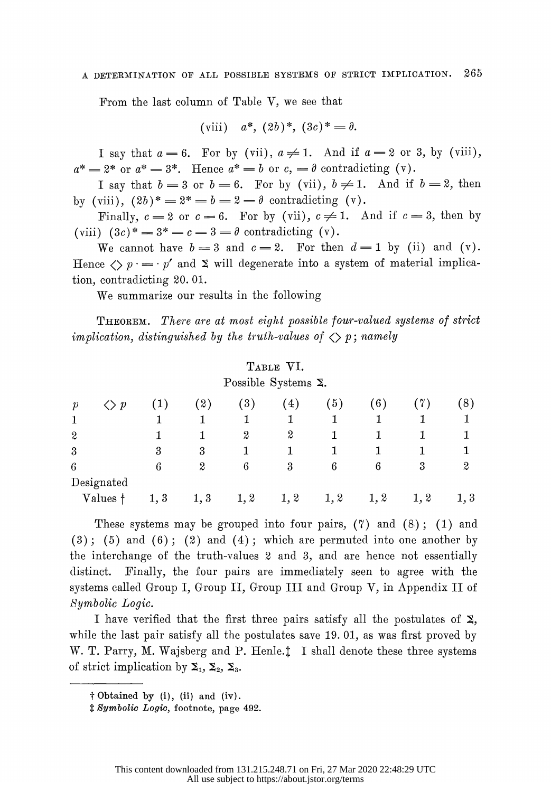### A DETERMIINATION OF ALL POSSIBLE SYSTEMS OF STRICT IMPLICATION. 265

From the last column of Table V, we see that

(viii) 
$$
a^*
$$
,  $(2b)^*$ ,  $(3c)^* = \partial$ .

I say that  $a = 6$ . For by (vii),  $a \neq 1$ . And if  $a = 2$  or 3, by (viii),  $a^* = 2^*$  or  $a^* = 3^*$ . Hence  $a^* = b$  or  $c = \partial$  contradicting (v).

I say that  $b = 3$  or  $b = 6$ . For by (vii),  $b \neq 1$ . And if  $b = 2$ , then by (viii),  $(2b)^* = 2^* = b = 2 = \theta$  contradicting (v).

Finally,  $c = 2$  or  $c = 6$ . For by (vii),  $c \neq 1$ . And if  $c = 3$ , then by (viii)  $(3c)^* = 3^* = c = 3 = \theta$  contradicting (v).

We cannot have  $b = 3$  and  $c = 2$ . For then  $d = 1$  by (ii) and (v). Hence  $\langle \rangle p = p'$  and  $\Sigma$  will degenerate into a system of material implication, contradicting 20. 01.

We summarize our results in the following

 THEOREM. There are at most eight possible four-valued systems of stict implication, distinguished by the truth-values of  $\langle \rangle$  p; namely

# TABLE VI. Possible Systems E.

|                  |                  |      |      |                  | $\cdot$ |      |      |      |                  |
|------------------|------------------|------|------|------------------|---------|------|------|------|------------------|
| $\mathcal{P}$    | $\boldsymbol{p}$ |      | 2)   | $\left(3\right)$ | 4)      | 5)   | 6)   |      | $\left(8\right)$ |
|                  |                  |      |      |                  | 1       |      |      |      |                  |
| $\boldsymbol{2}$ |                  |      |      | 2                | 2       | 1    |      |      |                  |
| 3                |                  | 3    | 3    |                  |         |      |      |      |                  |
| 6                |                  | 6    | 2    | 6                | 3       | 6    | 6    | 3    | 2                |
|                  | Designated       |      |      |                  |         |      |      |      |                  |
|                  | Values †         | 1, 3 | 1, 3 | 1, 2             | 1, 2    | 1, 2 | 1, 2 | 1, 2 | 1,3              |

These systems may be grouped into four pairs,  $(7)$  and  $(8)$ ;  $(1)$  and  $(3)$ ;  $(5)$  and  $(6)$ ;  $(2)$  and  $(4)$ ; which are permuted into one another by the interchange of the truth-values 2 and 3, and are hence not essentially distinct. Finally, the four pairs are immediately seen to agree with the systems called Group I, Group II, Group III and Group V, in Appendix II of Symbolic Logic.

I have verified that the first three pairs satisfy all the postulates of  $\Sigma$ , while the last pair satisfy all the postulates save 19. 01, as was first proved by W. T. Parry, M. Wajsberg and P. Henle.! I shall denote these three systems of strict implication by  $\Sigma_1$ ,  $\Sigma_2$ ,  $\Sigma_3$ .

t Obtained by (i), (ii) and (iv).

t Symbolic Logic, footnote, page 492.